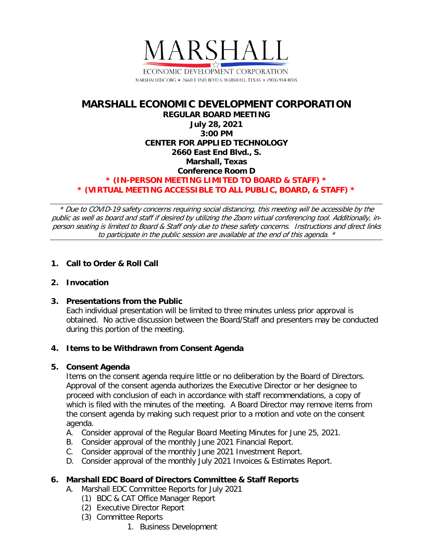

# **MARSHALL ECONOMIC DEVELOPMENT CORPORATION REGULAR BOARD MEETING July 28, 2021 3:00 PM CENTER FOR APPLIED TECHNOLOGY 2660 East End Blvd., S. Marshall, Texas Conference Room D \* (IN-PERSON MEETING LIMITED TO BOARD & STAFF) \* \* (VIRTUAL MEETING ACCESSIBLE TO ALL PUBLIC, BOARD, & STAFF) \***

\* Due to COVID-19 safety concerns requiring social distancing, this meeting will be accessible by the public as well as board and staff if desired by utilizing the Zoom virtual conferencing tool. Additionally, inperson seating is limited to Board & Staff only due to these safety concerns. Instructions and direct links to participate in the public session are available at the end of this agenda. \*

# **1. Call to Order & Roll Call**

### **2. Invocation**

### **3. Presentations from the Public**

Each individual presentation will be limited to three minutes unless prior approval is obtained. No active discussion between the Board/Staff and presenters may be conducted during this portion of the meeting.

### **4. Items to be Withdrawn from Consent Agenda**

### **5. Consent Agenda**

Items on the consent agenda require little or no deliberation by the Board of Directors. Approval of the consent agenda authorizes the Executive Director or her designee to proceed with conclusion of each in accordance with staff recommendations, a copy of which is filed with the minutes of the meeting. A Board Director may remove items from the consent agenda by making such request prior to a motion and vote on the consent agenda.

- A. Consider approval of the Regular Board Meeting Minutes for June 25, 2021.
- B. Consider approval of the monthly June 2021 Financial Report.
- C. Consider approval of the monthly June 2021 Investment Report.
- D. Consider approval of the monthly July 2021 Invoices & Estimates Report.

### **6. Marshall EDC Board of Directors Committee & Staff Reports**

- A. Marshall EDC Committee Reports for July 2021
	- (1) BDC & CAT Office Manager Report
	- (2) Executive Director Report
	- (3) Committee Reports
		- 1. Business Development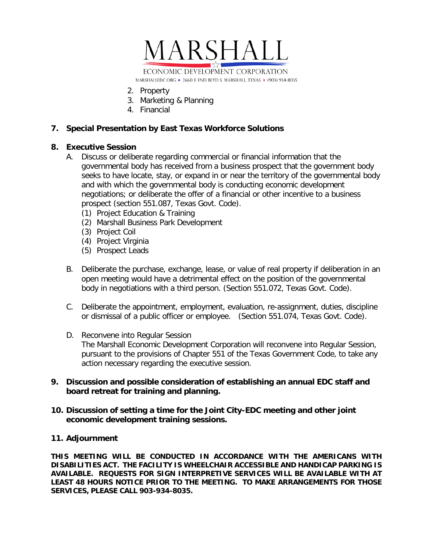

- 2. Property
- 3. Marketing & Planning
- 4. Financial

### **7. Special Presentation by East Texas Workforce Solutions**

### **8. Executive Session**

- A. Discuss or deliberate regarding commercial or financial information that the governmental body has received from a business prospect that the government body seeks to have locate, stay, or expand in or near the territory of the governmental body and with which the governmental body is conducting economic development negotiations; or deliberate the offer of a financial or other incentive to a business prospect (section 551.087, Texas Govt. Code).
	- (1) Project Education & Training
	- (2) Marshall Business Park Development
	- (3) Project Coil
	- (4) Project Virginia
	- (5) Prospect Leads
- B. Deliberate the purchase, exchange, lease, or value of real property if deliberation in an open meeting would have a detrimental effect on the position of the governmental body in negotiations with a third person. (Section 551.072, Texas Govt. Code).
- C. Deliberate the appointment, employment, evaluation, re-assignment, duties, discipline or dismissal of a public officer or employee. (Section 551.074, Texas Govt. Code).
- D. Reconvene into Regular Session The Marshall Economic Development Corporation will reconvene into Regular Session, pursuant to the provisions of Chapter 551 of the Texas Government Code, to take any action necessary regarding the executive session.

#### **9. Discussion and possible consideration of establishing an annual EDC staff and board retreat for training and planning.**

**10. Discussion of setting a time for the Joint City-EDC meeting and other joint economic development training sessions.**

#### **11. Adjournment**

**THIS MEETING WILL BE CONDUCTED IN ACCORDANCE WITH THE AMERICANS WITH DISABILITIES ACT. THE FACILITY IS WHEELCHAIR ACCESSIBLE AND HANDICAP PARKING IS AVAILABLE. REQUESTS FOR SIGN INTERPRETIVE SERVICES WILL BE AVAILABLE WITH AT LEAST 48 HOURS NOTICE PRIOR TO THE MEETING. TO MAKE ARRANGEMENTS FOR THOSE SERVICES, PLEASE CALL 903-934-8035.**